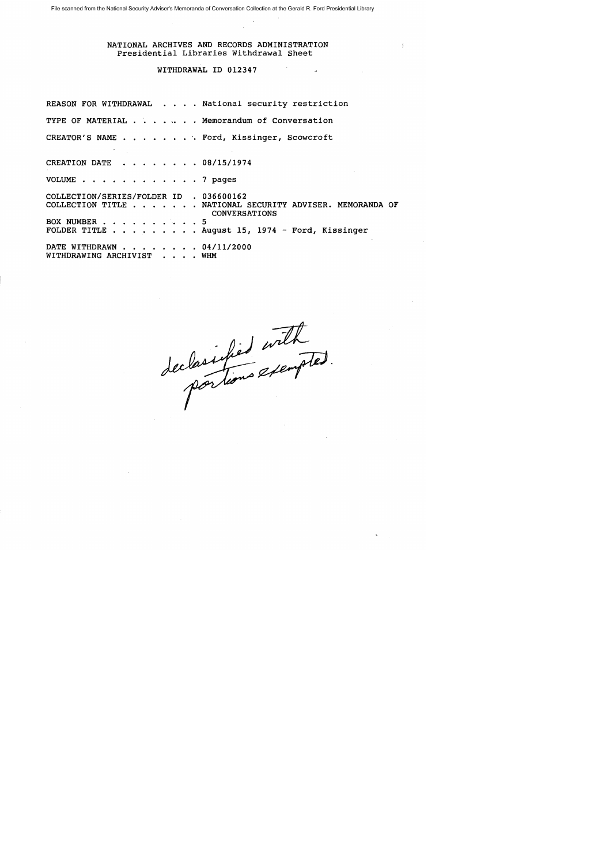File scanned from the National Security Adviser's Memoranda of Conversation Collection at the Gerald R. Ford Presidential Library

#### NATIONAL ARCHIVES AND RECORDS ADMINISTRATION Presidential Libraries Withdrawal Sheet

#### WITHDRAWAL ID 012347

REASON FOR WITHDRAWAL . . . . National security restriction TYPE OF MATERIAL  $\cdots$   $\cdots$   $\cdots$  Memorandum of Conversation CREATOR'S NAME . . . . . . . Ford, Kissinger, Scowcroft CREATION DATE  $\cdot \cdot \cdot \cdot \cdot \cdot 08/15/1974$ VOLUME . . . . . . . . . . . . 7 pages COLLECTION/SERIES/FOLDER ID . 036600162 COLLECTION TITLE . •.•• NATIONAL SECURITY ADVISER. MEMORANDA OF BOX NUMBER  $\cdot \cdot \cdot \cdot \cdot \cdot \cdot \cdot \cdot 5$ FOLDER TITLE . . . . . . . . August 15, 1974 - Ford, Kissinger DATE WITHDRAWN . . . . . . . 04/11/2000 WITHDRAWING ARCHIVIST . . . . WHM CONVERSATIONS

declarations exempted.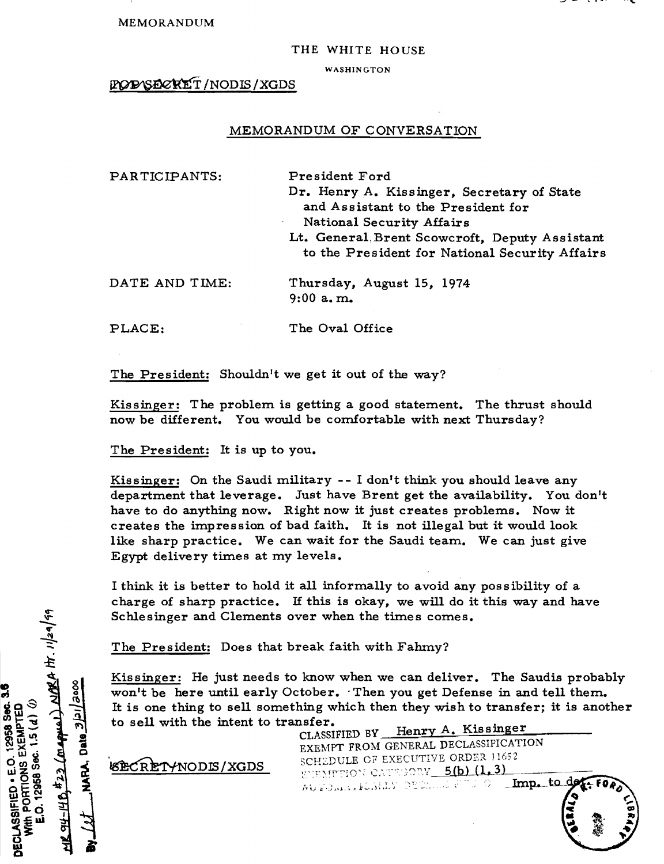MEMORANDUM

#### THE WHITE HOUSE

WASHINGTON

#### POPYSECKET/NODIS/XGDS

#### MEMORANDUM OF CONVERSATION

| PARTICIPANTS:  | President Ford<br>Dr. Henry A. Kissinger, Secretary of State<br>and Assistant to the President for<br>National Security Affairs<br>Lt. General Brent Scowcroft, Deputy Assistant<br>to the President for National Security Affairs |
|----------------|------------------------------------------------------------------------------------------------------------------------------------------------------------------------------------------------------------------------------------|
| DATE AND TIME: | Thursday, August 15, 1974<br>$9:00$ a.m.                                                                                                                                                                                           |
| PLACE:         | The Oval Office                                                                                                                                                                                                                    |

The President: Shouldn't we get it out of the way?

Kissinger: The problem is getting a good statement. The thrust should now be different. You would be comfortable with next Thursday?

The President: It is up to you.

Kissinger: On the Saudi military  $-1$  don't think you should leave any department that leverage. Just have Brent get the availability. You don't have to do anything now. Right now it just creates problems. Now it creates the impression of bad faith. It is not illegal but it would look like sharp practice. We can wait for the Saudi team. We can just give Egypt delivery times at my levels.

I think it is better to hold it all informally to avoid any possibility of a charge of sharp practice. If this is okay, we will do it this way and have Schlesinger and Clements over when the times comes.

The President: Does that break faith with Fahmy?

Kissinger: He just needs to know when we can deliver. The Saudis probably won't be here until early October. Then you get Defense in and tell them. It is one thing to sell something which then they wish to transfer; it is another to sell with the intent to transfer.<br>CLASSIFIED BY Henry A. Kissinger

'\*ODDE' XGDS

EXEMPT FROM GENERAL DECLASSIFICATION SCHEDULE OF EXECUTIVE ORDER 11652 WEMPTION CATEFORY 5(b) (1.3)  $^{10}$  . The  $^{10}$  such that  $^{10}$  is the  $^{10}$  s  $^{10}$  . The  $^{10}$  denotes the  $^{10}$ 

> $.9\,$ .<br>...<br>... • 1,

 $\frac{423}{\sqrt{22 \left(\frac{m}{60000}\right) \frac{N}{N}}}$ oooe) DECLASSIFIED . E.O. 12958 Sec.  $300.15(d)$  0 MARA, Date 3/3/1/ EXEMPTED PORTIONS 0.12958 94-140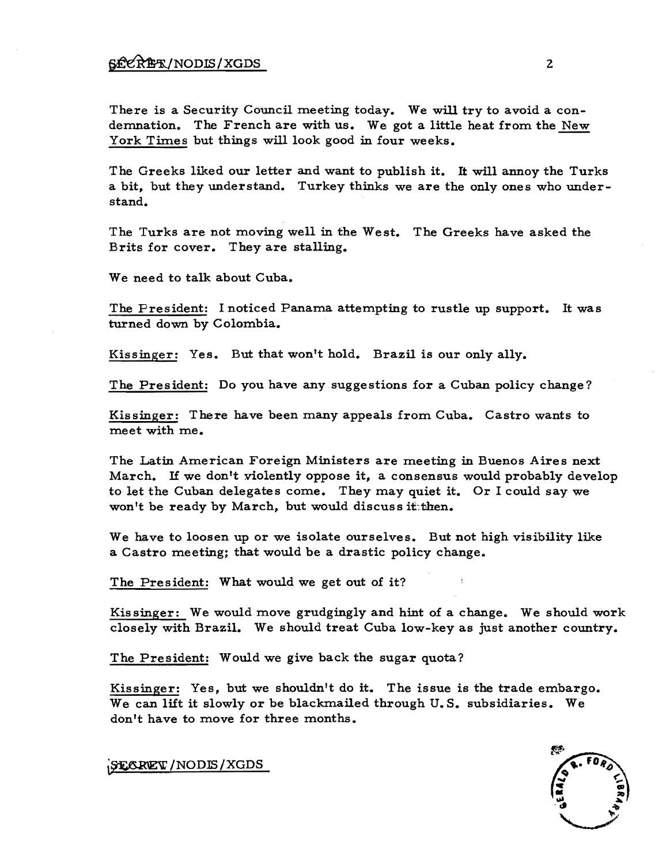There is a Security Council meeting today. We will try to avoid a condemnation. The French are with us. We got a little heat from the New York Times but things will look good in four weeks.

The Greeks liked our letter and want to publish it. It will annoy the Turks a bit, but they understand. Turkey thinks we are the only ones who understand.

The Turks are not moving well in the West. The Greeks have asked the Brits for cover. They are stalling.

We need to talk about Cuba.

The President: I noticed Panama attempting to rustle up support. It was turned down by Colombia.

Kissinger: Yes. But that won't hold. Brazil is our only ally.

The President: Do you have any suggestions for a Cuban policy change?

Kissinger: There have been many appeals from Cuba. Castro wants to meet with me.

The Latin American Foreign Ministers are meeting in Buenos Aires next March. H we don't violently oppose it, a consensus would probably develop to let the Cuban delegates come. They may quiet it. Or I could say we won't be ready by March, but would discuss if then.

We have to loosen up or we isolate ourselves. But not high visibility like a Castro meeting; that would be a drastic policy change.

The President: What would we get out of it?

Kissinger: We would move grudgingly and hint of a change. We should work closely with Brazil. We should treat Cuba low-key as just another country.

The President: Would we give back the sugar quota?

Kissinger: Yes, but we shouldn't do it. The issue is the trade embargo. We can lift it slowly or be blackmailed through U.S. subsidiaries. We don't have to move for three months.

SEORET / NODIS / XGDS

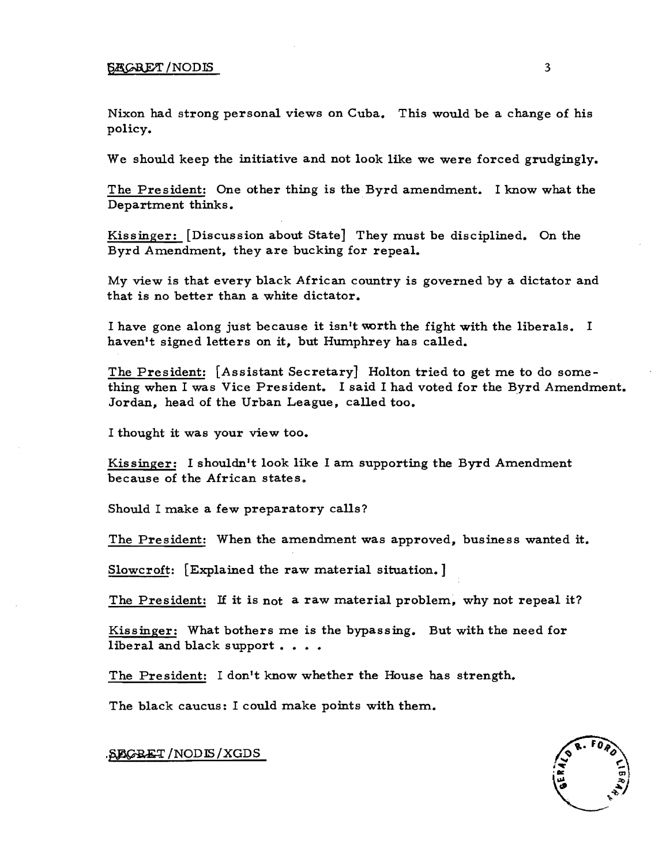#### $\overline{\text{SACRET}}$  /NODIS 3

Nixon had strong personal views on Cuba. This would be a change of his policy.

We should keep the initiative and not look like we were forced grudgingly.

The President: One other thing is the Byrd amendment. I know what the Department thinks.

Kissinger: [Discussion about State] They must be disciplined. On the Byrd Amendment, they are bucking for repeal.

My view is that every black African country is governed by a dictator and that is no better than a white dictator.

I have gone along just because it isn't worth the fight with the liberals. I haven't signed letters on it, but Humphrey has called.

The President: [Assistant Secretary] Holton tried to get me to do something when I was Vice President. I said I had voted for the Byrd Amendment. Jordan, head of the Urban League, called too.

I thought it was your view too.

Kissinger: I shouldn't look like I am supporting the Byrd Amendment because of the African states.

Should I make a few preparatory calls?

The President: When the amendment was approved, business wanted it.

Slowcroft: [Explained the raw material situation.]

The President: If it is not a raw material problem, why not repeal it?

Kissinger: What bothers me is the bypassing. But with the need for liberal and black support  $\ldots$ .

The President: I don't know whether the House has strength.

The black caucus: I could make points with them.



.SEGBET/NODIS/XGDS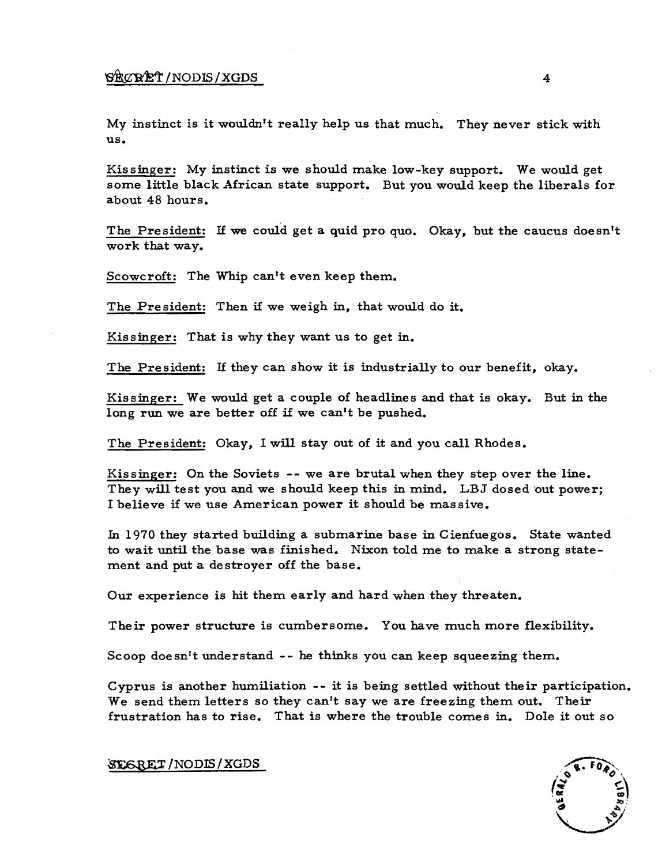### $\sqrt{\frac{1}{2}}$   $\sqrt{\frac{1}{N}}$   $\sqrt{\frac{1}{N}}$   $\sqrt{\frac{1}{N}}$   $\sqrt{\frac{1}{N}}$

My instinct is it wouldn't really help us that much. They never stick with us.

Kissinger: My instinct is we should make low-key support. We would get some little black African state support. But you would keep the liberals for about 48 hours.

The President: If we could get a quid pro quo. Okay. but the caucus doesn't work that way.

Scowcroft: The Whip can't even keep them.

The President: Then if we weigh in, that would do it.

Kissinger: That is why they want us to get in.

The President: If they can show it is industrially to our benefit, okay.

Kissinger: We would get a couple of headlines and that is okay. But in the long run we are better off if we can't be pushed.

The President: Okay, I will stay out of it and you call Rhodes.

Kissinger: On the Soviets -- we are brutal when they step over the line. They will test you and we should keep this in mind. LBJ dosed out power: I believe if we use American power it should be massive.

In 1970 they started building a submarine base in Cienfuegos. State wanted to wait until the base was finished. Nixon told me to make a strong statement and put a destroyer off the base.

Our experience is hit them early and hard when they threaten.

Their power structure is cumbersome. You have much more flexibility.

Scoop doesn't understand -- he thinks you can keep squeezing them.

Cyprus is another humiliation -- it is being settled without their participation. We send them letters so they can't say we are freezing them out. Their frustration has to rise. That is where the trouble comes in. Dole it out so

SEGRET/NODIS/XGDS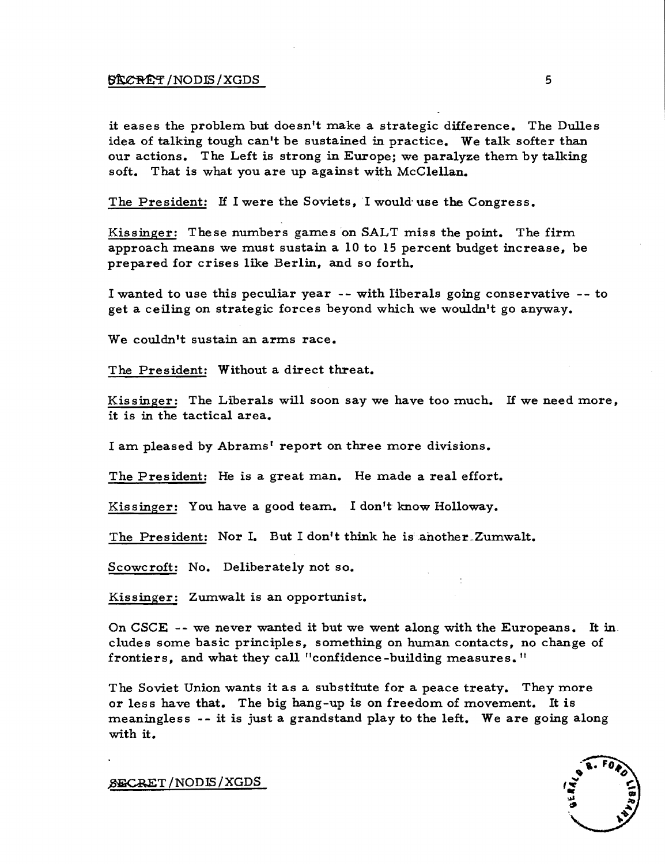#### $\frac{1}{2}$  5

it eases the problem but doesn't make a strategic difference. The Dulles idea of talking tough can't be sustained in practice. We talk softer than our actions. The Left is strong in Europe; we paralyze them by talking soft. That is what you are up against with McClellan.

The President: H I were the Soviets, I would' use the Congress.

Kissinger: These numbers games on SALT miss the point. The firm approach means we must sustain a 10 to 15 percent budget increase, be prepared for crises like Berlin, and so forth.

I wanted to use this peculiar year -- with liberals going conservative -- to get a ceiling on strategic forces beyond which we wouldn't go anyway.

We couldn't sustain an arms race.

The President: Without a direct threat.

Kissinger: The Liberals will soon say we have too much. IT we need more, it is in the tactical area.

I am pleased by Abrams' report on three more divisions.

The President: He is a great man. He made a real effort.

Kissinger: You have a good team. I don't know Holloway.

The President: Nor I. But I don't think he is another Zumwalt.

Scowcroft: No. Deliberately not so.

Kissinger: Zumwalt is an opportunist.

On CSCE  $-$ - we never wanted it but we went along with the Europeans. It in eludes some basic principles, something on human contacts, no change of frontiers, and what they call "confidence-building measures."

The Soviet Union wants it as a substitute for a peace treaty. They more or less have that. The big hang-up is on freedom of movement. It is meaningless -- it is just a grandstand play to the left. We are going along with it.

 ${\tt S}\texttt{E}\texttt{C}\texttt{RET}$  / NODIS / XGDS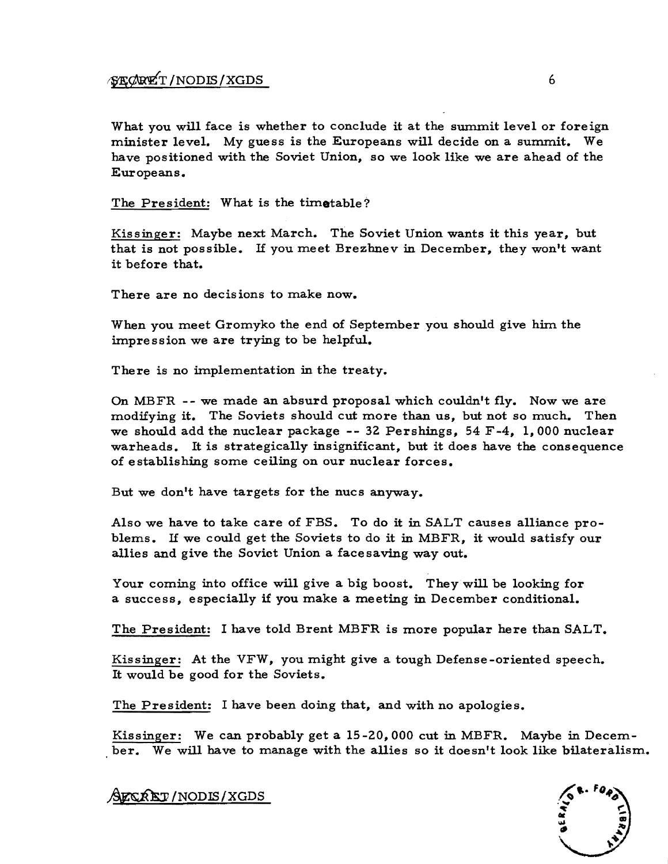## ~¢roiT/NODffi/XGDS 6

What you will face is whether to conclude it at the summit level or foreign minister level. My guess is the Europeans will decide on a summit. We have positioned with the Soviet Union, so we look like we are ahead of the Europeans.

The President: What is the timetable?

Kissinger: Maybe next March. The Soviet Union wants it this year, but that is not possible. If you meet Brezhnev in December, they won't want it before that.

There are no decisions to make now.

When you meet Gromyko the end of September you should give him the impression we are trying to be helpful.

There is no implementation in the treaty.

On MBFR -- we made an absurd proposal which couldn't fly. Now we are modifying it. The Soviets should cut more than us, but not so much. Then we should add the nuclear package  $-$ - 32 Pershings, 54 F-4, 1,000 nuclear warheads. It is strategically insignificant, but it does have the consequence of establishing some ceiling on our nuclear forces.

But we don't have targets for the nucs anyway.

Also we have to take care of FBS. To do it in SALT causes alliance problems. If we could get the Soviets to do it in MBFR, it would satisfy our allies and give the Soviet Union a face saving way out.

Your coming into office will give a big boost. Theywill be looking for a success, especially if you make a meeting in December conditional.

The President: I have told Brent MBFR is more popular here than SALT.

Kissinger: At the VFW, you might give a tough Defense-oriented speech. It would be good for the Soviets.

The President: I have been doing that, and with no apologies.

Kissinger: We can probably get a  $15-20$ , 000 cut in MBFR. Maybe in December. We will have to manage with the allies so it doesn't look like bilateralism.

AFCRET/NODIS/XGDS

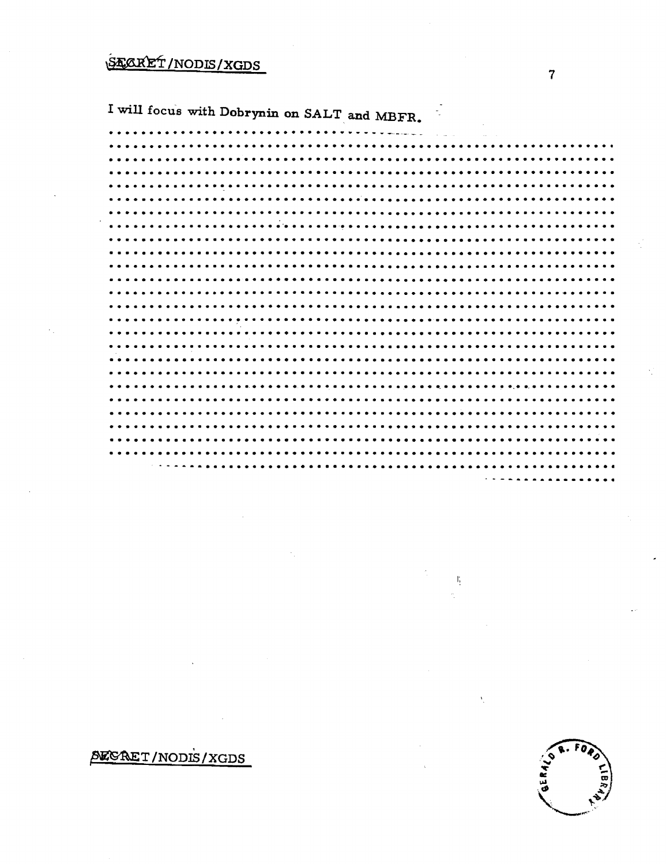# STARET/NODIS/XGDS

I will focus with Dobrynin on SALT and MBFR.

 $\tilde{\phantom{a}}$ 

ľ,

# **SECRET/NODIS/XGDS**

**ASER** 

 $\overline{7}$